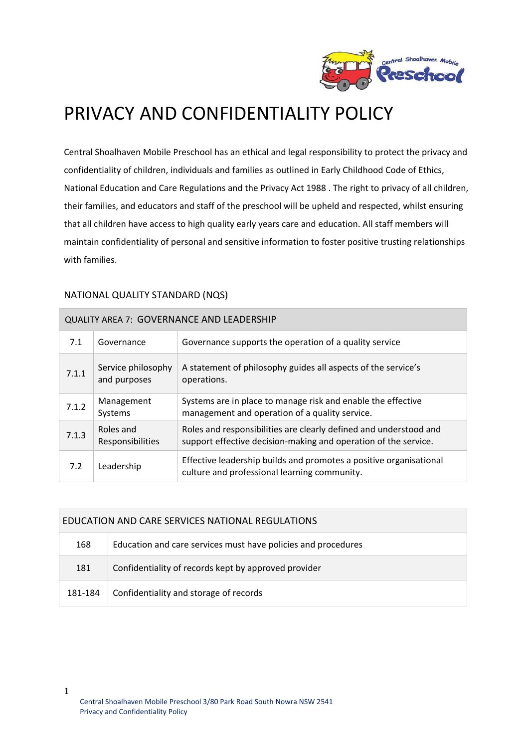

# PRIVACY AND CONFIDENTIALITY POLICY

Central Shoalhaven Mobile Preschool has an ethical and legal responsibility to protect the privacy and confidentiality of children, individuals and families as outlined in Early Childhood Code of Ethics, National Education and Care Regulations and the Privacy Act 1988 . The right to privacy of all children, their families, and educators and staff of the preschool will be upheld and respected, whilst ensuring that all children have access to high quality early years care and education. All staff members will maintain confidentiality of personal and sensitive information to foster positive trusting relationships with families.

|  | NATIONAL QUALITY STANDARD (NQS) |  |
|--|---------------------------------|--|
|--|---------------------------------|--|

| <b>QUALITY AREA 7: GOVERNANCE AND LEADERSHIP</b> |                                    |                                                                                                                                      |  |  |
|--------------------------------------------------|------------------------------------|--------------------------------------------------------------------------------------------------------------------------------------|--|--|
| 7.1                                              | Governance                         | Governance supports the operation of a quality service                                                                               |  |  |
| 7.1.1                                            | Service philosophy<br>and purposes | A statement of philosophy guides all aspects of the service's<br>operations.                                                         |  |  |
| 7.1.2                                            | Management<br>Systems              | Systems are in place to manage risk and enable the effective<br>management and operation of a quality service.                       |  |  |
| 7.1.3                                            | Roles and<br>Responsibilities      | Roles and responsibilities are clearly defined and understood and<br>support effective decision-making and operation of the service. |  |  |
| 7.2                                              | Leadership                         | Effective leadership builds and promotes a positive organisational<br>culture and professional learning community.                   |  |  |

| EDUCATION AND CARE SERVICES NATIONAL REGULATIONS |                                                               |  |  |  |
|--------------------------------------------------|---------------------------------------------------------------|--|--|--|
| 168                                              | Education and care services must have policies and procedures |  |  |  |
| 181                                              | Confidentiality of records kept by approved provider          |  |  |  |
| 181-184                                          | Confidentiality and storage of records                        |  |  |  |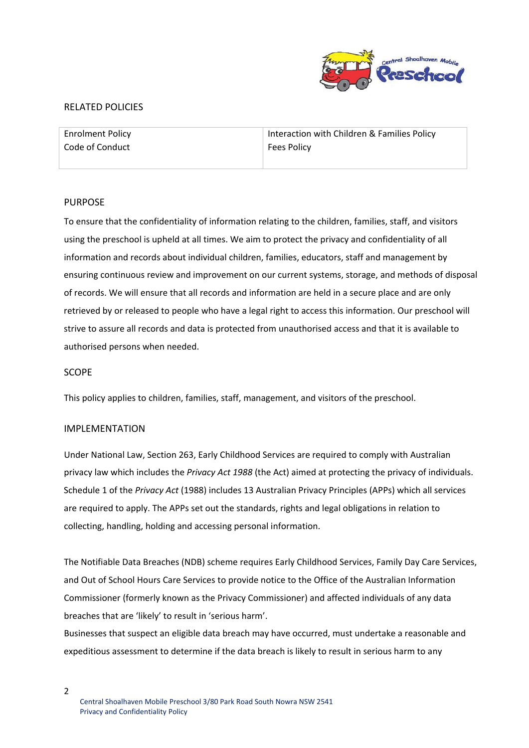

## RELATED POLICIES

| <b>Enrolment Policy</b> | Interaction with Children & Families Policy |
|-------------------------|---------------------------------------------|
| Code of Conduct         | <b>Fees Policy</b>                          |

#### PURPOSE

To ensure that the confidentiality of information relating to the children, families, staff, and visitors using the preschool is upheld at all times. We aim to protect the privacy and confidentiality of all information and records about individual children, families, educators, staff and management by ensuring continuous review and improvement on our current systems, storage, and methods of disposal of records. We will ensure that all records and information are held in a secure place and are only retrieved by or released to people who have a legal right to access this information. Our preschool will strive to assure all records and data is protected from unauthorised access and that it is available to authorised persons when needed.

#### SCOPE

This policy applies to children, families, staff, management, and visitors of the preschool.

#### IMPLEMENTATION

Under National Law, Section 263, Early Childhood Services are required to comply with Australian privacy law which includes the *Privacy Act 1988* (the Act) aimed at protecting the privacy of individuals. Schedule 1 of the *Privacy Act* (1988) includes 13 Australian Privacy Principles (APPs) which all services are required to apply. The APPs set out the standards, rights and legal obligations in relation to collecting, handling, holding and accessing personal information.

The Notifiable Data Breaches (NDB) scheme requires Early Childhood Services, Family Day Care Services, and Out of School Hours Care Services to provide notice to the Office of the Australian Information Commissioner (formerly known as the Privacy Commissioner) and affected individuals of any data breaches that are 'likely' to result in 'serious harm'.

Businesses that suspect an eligible data breach may have occurred, must undertake a reasonable and expeditious assessment to determine if the data breach is likely to result in serious harm to any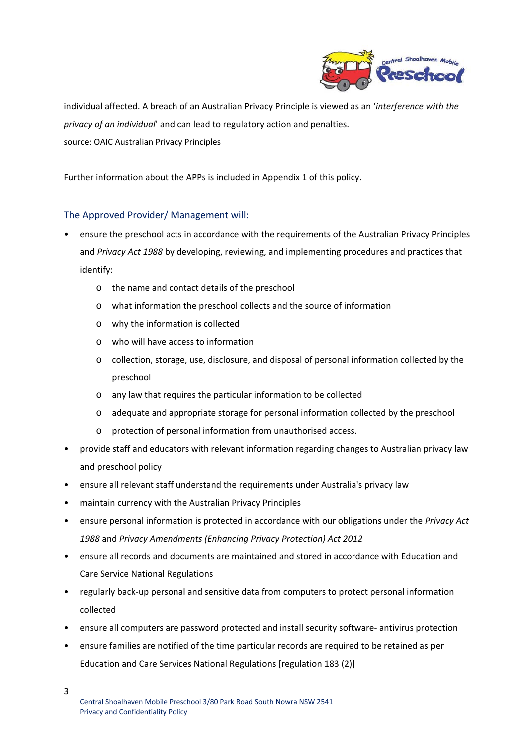

individual affected. A breach of an Australian Privacy Principle is viewed as an '*interference with the privacy of an individual*' and can lead to regulatory action and penalties. source: OAIC Australian Privacy Principles

Further information about the APPs is included in Appendix 1 of this policy.

# The Approved Provider/ Management will:

- ensure the preschool acts in accordance with the requirements of the Australian Privacy Principles and *Privacy Act 1988* by developing, reviewing, and implementing procedures and practices that identify:
	- o the name and contact details of the preschool
	- o what information the preschool collects and the source of information
	- o why the information is collected
	- o who will have access to information
	- o collection, storage, use, disclosure, and disposal of personal information collected by the preschool
	- o any law that requires the particular information to be collected
	- o adequate and appropriate storage for personal information collected by the preschool
	- o protection of personal information from unauthorised access.
- provide staff and educators with relevant information regarding changes to Australian privacy law and preschool policy
- ensure all relevant staff understand the requirements under Australia's privacy law
- maintain currency with the Australian Privacy Principles
- ensure personal information is protected in accordance with our obligations under the *Privacy Act 1988* and *Privacy Amendments (Enhancing Privacy Protection) Act 2012*
- ensure all records and documents are maintained and stored in accordance with Education and Care Service National Regulations
- regularly back-up personal and sensitive data from computers to protect personal information collected
- ensure all computers are password protected and install security software‐ antivirus protection
- ensure families are notified of the time particular records are required to be retained as per Education and Care Services National Regulations [regulation 183 (2)]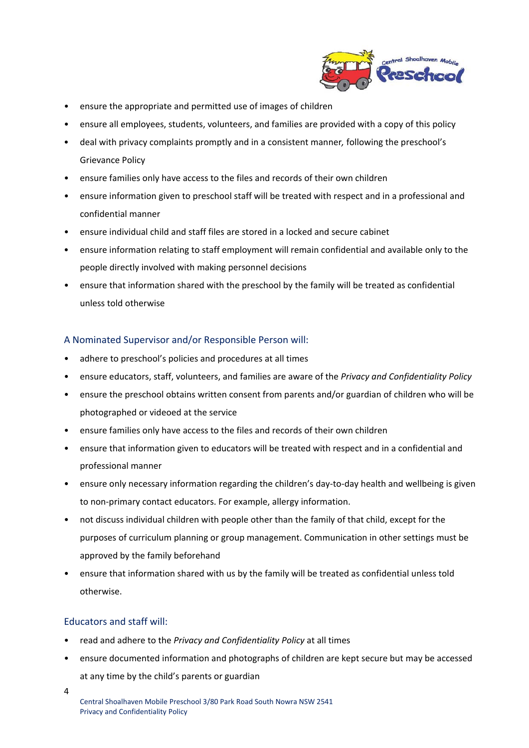

- ensure the appropriate and permitted use of images of children
- ensure all employees, students, volunteers, and families are provided with a copy of this policy
- deal with privacy complaints promptly and in a consistent manner*,* following the preschool's Grievance Policy
- ensure families only have access to the files and records of their own children
- ensure information given to preschool staff will be treated with respect and in a professional and confidential manner
- ensure individual child and staff files are stored in a locked and secure cabinet
- ensure information relating to staff employment will remain confidential and available only to the people directly involved with making personnel decisions
- ensure that information shared with the preschool by the family will be treated as confidential unless told otherwise

# A Nominated Supervisor and/or Responsible Person will:

- adhere to preschool's policies and procedures at all times
- ensure educators, staff, volunteers, and families are aware of the *Privacy and Confidentiality Policy*
- ensure the preschool obtains written consent from parents and/or guardian of children who will be photographed or videoed at the service
- ensure families only have access to the files and records of their own children
- ensure that information given to educators will be treated with respect and in a confidential and professional manner
- ensure only necessary information regarding the children's day-to-day health and wellbeing is given to non‐primary contact educators. For example, allergy information.
- not discuss individual children with people other than the family of that child, except for the purposes of curriculum planning or group management. Communication in other settings must be approved by the family beforehand
- ensure that information shared with us by the family will be treated as confidential unless told otherwise.

## Educators and staff will:

- read and adhere to the *Privacy and Confidentiality Policy* at all times
- ensure documented information and photographs of children are kept secure but may be accessed at any time by the child's parents or guardian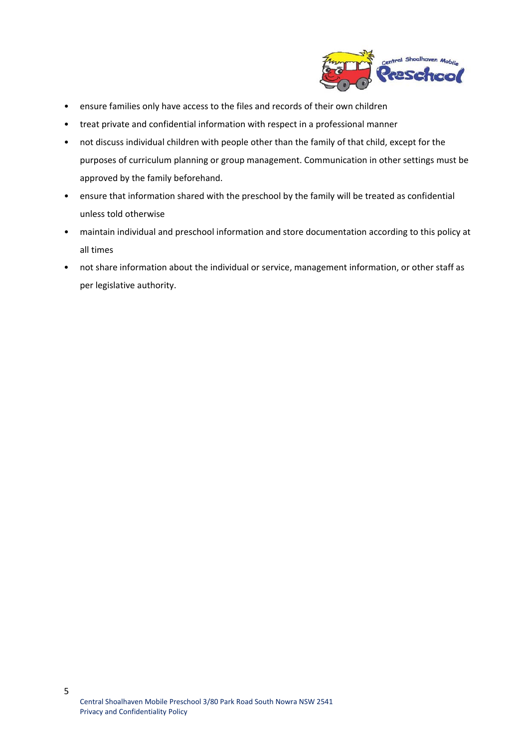

- ensure families only have access to the files and records of their own children
- treat private and confidential information with respect in a professional manner
- not discuss individual children with people other than the family of that child, except for the purposes of curriculum planning or group management. Communication in other settings must be approved by the family beforehand.
- ensure that information shared with the preschool by the family will be treated as confidential unless told otherwise
- maintain individual and preschool information and store documentation according to this policy at all times
- not share information about the individual or service, management information, or other staff as per legislative authority.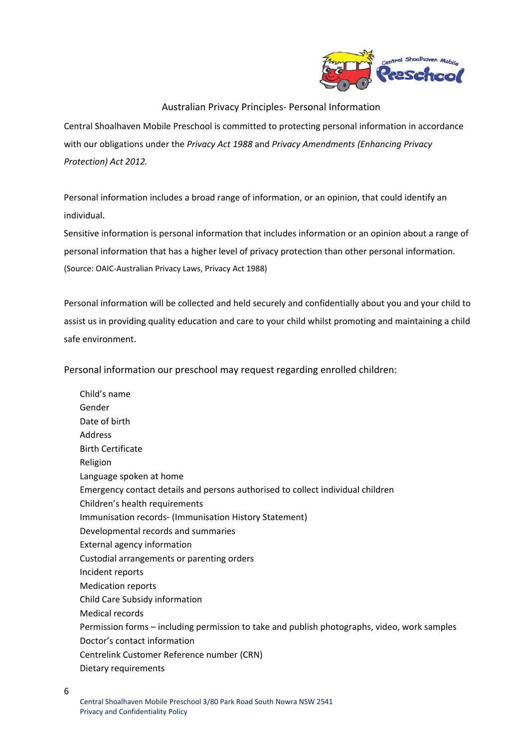

# Australian Privacy Principles‐ Personal Information

Central Shoalhaven Mobile Preschool is committed to protecting personal information in accordance with our obligations under the *Privacy Act 1988* and *Privacy Amendments (Enhancing Privacy Protection) Act 2012.*

Personal information includes a broad range of information, or an opinion, that could identify an individual.

Sensitive information is personal information that includes information or an opinion about a range of personal information that has a higher level of privacy protection than other personal information. (Source: OAIC‐Australian Privacy Laws, Privacy Act 1988)

Personal information will be collected and held securely and confidentially about you and your child to assist us in providing quality education and care to your child whilst promoting and maintaining a child safe environment.

Personal information our preschool may request regarding enrolled children:

 Child's name Gender Date of birth Address Birth Certificate Religion Language spoken at home Emergency contact details and persons authorised to collect individual children Children's health requirements Immunisation records‐ (Immunisation History Statement) Developmental records and summaries External agency information Custodial arrangements or parenting orders Incident reports Medication reports Child Care Subsidy information Medical records Permission forms – including permission to take and publish photographs, video, work samples Doctor's contact information Centrelink Customer Reference number (CRN) Dietary requirements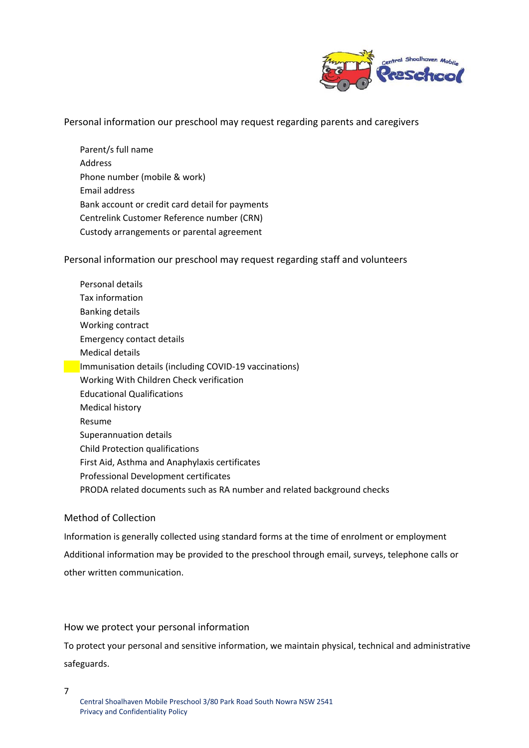

## Personal information our preschool may request regarding parents and caregivers

 Parent/s full name Address Phone number (mobile & work) Email address Bank account or credit card detail for payments Centrelink Customer Reference number (CRN) Custody arrangements or parental agreement

## Personal information our preschool may request regarding staff and volunteers

 Personal details Tax information Banking details Working contract Emergency contact details Medical details **Immunisation details (including COVID-19 vaccinations)**  Working With Children Check verification Educational Qualifications Medical history Resume Superannuation details Child Protection qualifications First Aid, Asthma and Anaphylaxis certificates Professional Development certificates PRODA related documents such as RA number and related background checks

#### Method of Collection

Information is generally collected using standard forms at the time of enrolment or employment Additional information may be provided to the preschool through email, surveys, telephone calls or other written communication.

## How we protect your personal information

To protect your personal and sensitive information, we maintain physical, technical and administrative safeguards.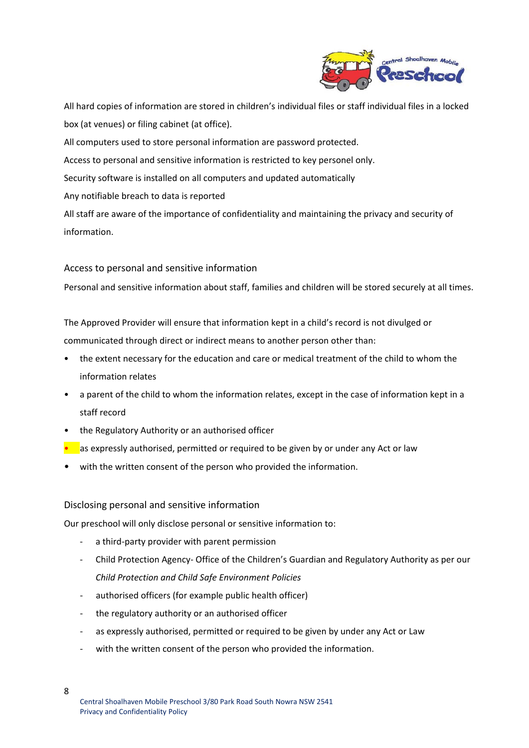

All hard copies of information are stored in children's individual files or staff individual files in a locked box (at venues) or filing cabinet (at office).

All computers used to store personal information are password protected.

Access to personal and sensitive information is restricted to key personel only.

Security software is installed on all computers and updated automatically

Any notifiable breach to data is reported

All staff are aware of the importance of confidentiality and maintaining the privacy and security of information.

# Access to personal and sensitive information

Personal and sensitive information about staff, families and children will be stored securely at all times.

The Approved Provider will ensure that information kept in a child's record is not divulged or communicated through direct or indirect means to another person other than:

- the extent necessary for the education and care or medical treatment of the child to whom the information relates
- a parent of the child to whom the information relates, except in the case of information kept in a staff record
- the Regulatory Authority or an authorised officer
- as expressly authorised, permitted or required to be given by or under any Act or law
- with the written consent of the person who provided the information.

## Disclosing personal and sensitive information

Our preschool will only disclose personal or sensitive information to:

- a third-party provider with parent permission
- ‐ Child Protection Agency‐ Office of the Children's Guardian and Regulatory Authority as per our *Child Protection and Child Safe Environment Policies*
- authorised officers (for example public health officer)
- the regulatory authority or an authorised officer
- as expressly authorised, permitted or required to be given by under any Act or Law
- with the written consent of the person who provided the information.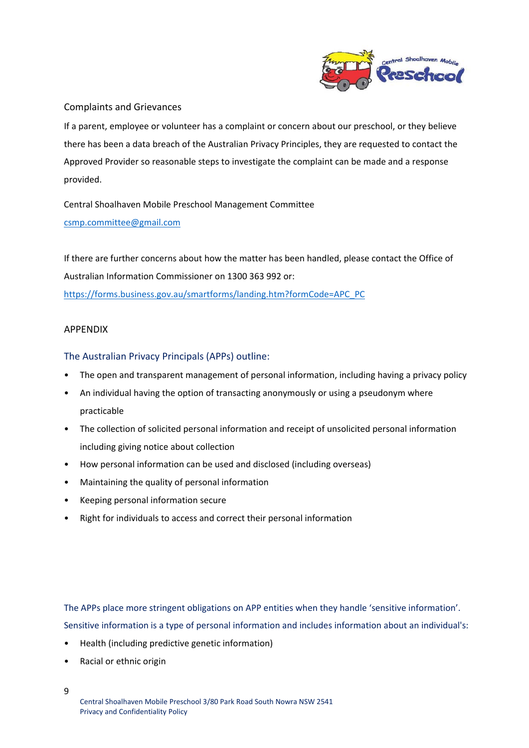

# Complaints and Grievances

If a parent, employee or volunteer has a complaint or concern about our preschool, or they believe there has been a data breach of the Australian Privacy Principles, they are requested to contact the Approved Provider so reasonable steps to investigate the complaint can be made and a response provided.

Central Shoalhaven Mobile Preschool Management Committee csmp.committee@gmail.com

If there are further concerns about how the matter has been handled, please contact the Office of Australian Information Commissioner on 1300 363 992 or: https://forms.business.gov.au/smartforms/landing.htm?formCode=APC\_PC

# APPENDIX

# The Australian Privacy Principals (APPs) outline:

- The open and transparent management of personal information, including having a privacy policy
- An individual having the option of transacting anonymously or using a pseudonym where practicable
- The collection of solicited personal information and receipt of unsolicited personal information including giving notice about collection
- How personal information can be used and disclosed (including overseas)
- Maintaining the quality of personal information
- Keeping personal information secure
- Right for individuals to access and correct their personal information

The APPs place more stringent obligations on APP entities when they handle 'sensitive information'. Sensitive information is a type of personal information and includes information about an individual's:

- Health (including predictive genetic information)
- Racial or ethnic origin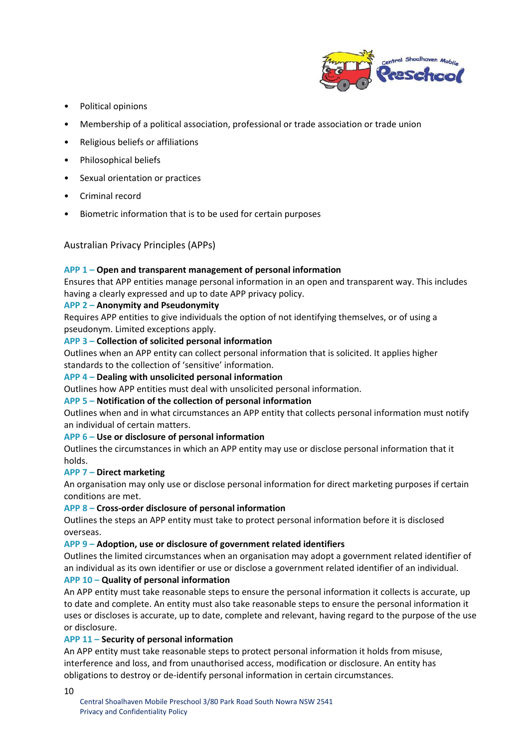

- Political opinions
- Membership of a political association, professional or trade association or trade union
- Religious beliefs or affiliations
- Philosophical beliefs
- Sexual orientation or practices
- Criminal record
- Biometric information that is to be used for certain purposes

Australian Privacy Principles (APPs)

## **APP 1 – Open and transparent management of personal information**

Ensures that APP entities manage personal information in an open and transparent way. This includes having a clearly expressed and up to date APP privacy policy.

## **APP 2 – Anonymity and Pseudonymity**

Requires APP entities to give individuals the option of not identifying themselves, or of using a pseudonym. Limited exceptions apply.

#### **APP 3 – Collection of solicited personal information**

Outlines when an APP entity can collect personal information that is solicited. It applies higher standards to the collection of 'sensitive' information.

## **APP 4 – Dealing with unsolicited personal information**

Outlines how APP entities must deal with unsolicited personal information.

## **APP 5 – Notification of the collection of personal information**

Outlines when and in what circumstances an APP entity that collects personal information must notify an individual of certain matters.

## **APP 6 – Use or disclosure of personal information**

Outlines the circumstances in which an APP entity may use or disclose personal information that it holds.

## **APP 7 – Direct marketing**

An organisation may only use or disclose personal information for direct marketing purposes if certain conditions are met.

#### **APP 8 – Cross‐order disclosure of personal information**

Outlines the steps an APP entity must take to protect personal information before it is disclosed overseas.

## **APP 9 – Adoption, use or disclosure of government related identifiers**

Outlines the limited circumstances when an organisation may adopt a government related identifier of an individual as its own identifier or use or disclose a government related identifier of an individual.

## **APP 10 – Quality of personal information**

An APP entity must take reasonable steps to ensure the personal information it collects is accurate, up to date and complete. An entity must also take reasonable steps to ensure the personal information it uses or discloses is accurate, up to date, complete and relevant, having regard to the purpose of the use or disclosure.

## **APP 11 – Security of personal information**

An APP entity must take reasonable steps to protect personal information it holds from misuse, interference and loss, and from unauthorised access, modification or disclosure. An entity has obligations to destroy or de‐identify personal information in certain circumstances.